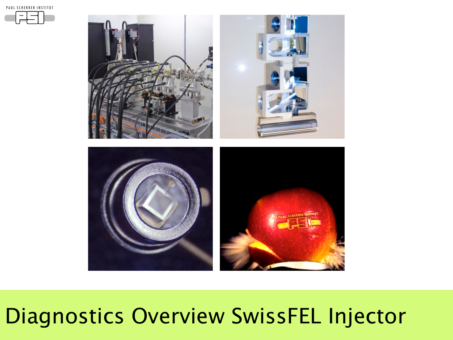PAUL SCHERRER INSTITUT



## Diagnostics Overview SwissFEL Injector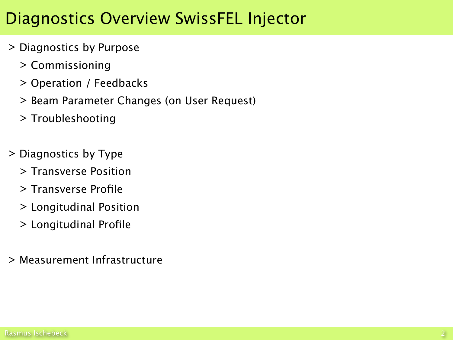#### Diagnostics Overview SwissFEL Injector

- > Diagnostics by Purpose
	- > Commissioning
	- > Operation / Feedbacks
	- > Beam Parameter Changes (on User Request)
	- > Troubleshooting
- > Diagnostics by Type
	- > Transverse Position
	- > Transverse Profile
	- > Longitudinal Position
	- > Longitudinal Profile
- > Measurement Infrastructure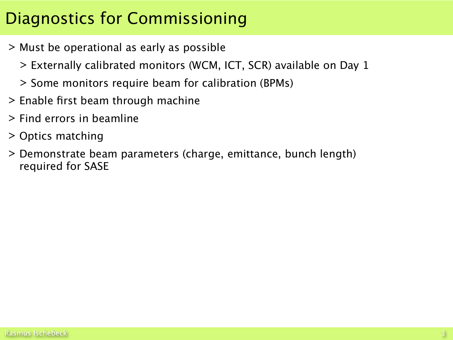#### Diagnostics for Commissioning

- > Must be operational as early as possible
	- > Externally calibrated monitors (WCM, ICT, SCR) available on Day 1
	- > Some monitors require beam for calibration (BPMs)
- > Enable first beam through machine
- > Find errors in beamline
- > Optics matching
- > Demonstrate beam parameters (charge, emittance, bunch length) required for SASE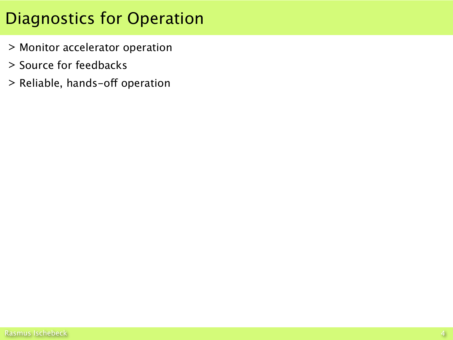#### Diagnostics for Operation

- > Monitor accelerator operation
- > Source for feedbacks
- > Reliable, hands-off operation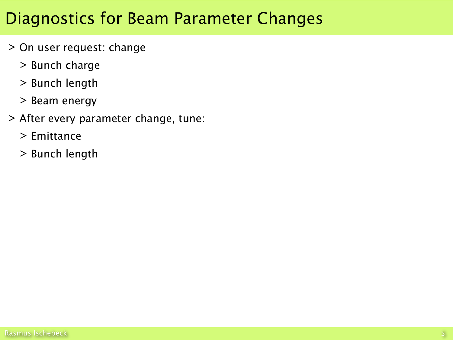#### Diagnostics for Beam Parameter Changes

- > On user request: change
	- > Bunch charge
	- > Bunch length
	- > Beam energy
- > After every parameter change, tune:
	- > Emittance
	- > Bunch length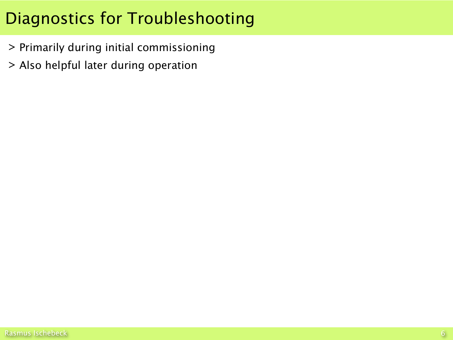#### Diagnostics for Troubleshooting

- > Primarily during initial commissioning
- > Also helpful later during operation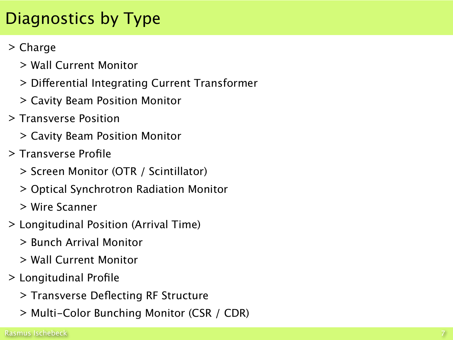### Diagnostics by Type

#### > Charge

- > Wall Current Monitor
- > Diferential Integrating Current Transformer
- > Cavity Beam Position Monitor
- > Transverse Position
	- > Cavity Beam Position Monitor
- > Transverse Profile
	- > Screen Monitor (OTR / Scintillator)
	- > Optical Synchrotron Radiation Monitor
	- > Wire Scanner
- > Longitudinal Position (Arrival Time)
	- > Bunch Arrival Monitor
	- > Wall Current Monitor
- > Longitudinal Profile
	- > Transverse Deflecting RF Structure
	- > Multi-Color Bunching Monitor (CSR / CDR)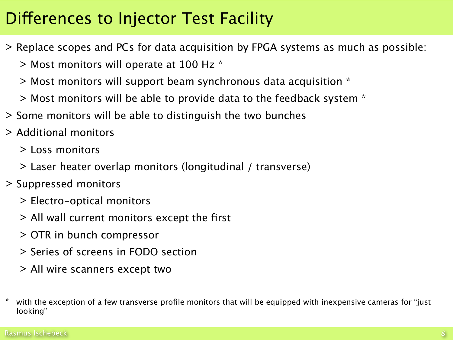#### Diferences to Injector Test Facility

- > Replace scopes and PCs for data acquisition by FPGA systems as much as possible:
	- > Most monitors will operate at 100 Hz \*
	- > Most monitors will support beam synchronous data acquisition \*
	- $>$  Most monitors will be able to provide data to the feedback system  $*$
- > Some monitors will be able to distinguish the two bunches
- > Additional monitors
	- > Loss monitors
	- > Laser heater overlap monitors (longitudinal / transverse)
- > Suppressed monitors
	- > Electro-optical monitors
	- > All wall current monitors except the first
	- > OTR in bunch compressor
	- > Series of screens in FODO section
	- > All wire scanners except two
- with the exception of a few transverse profile monitors that will be equipped with inexpensive cameras for "just looking"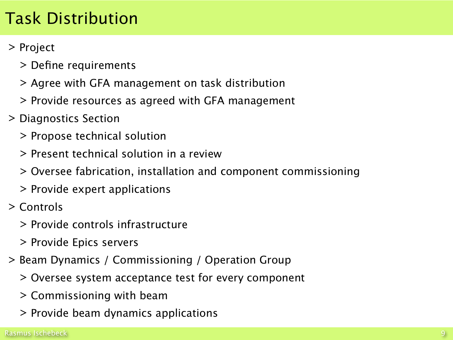#### Task Distribution

#### > Project

- > Define requirements
- > Agree with GFA management on task distribution
- > Provide resources as agreed with GFA management
- > Diagnostics Section
	- > Propose technical solution
	- > Present technical solution in a review
	- > Oversee fabrication, installation and component commissioning
	- > Provide expert applications
- > Controls
	- > Provide controls infrastructure
	- > Provide Epics servers
- > Beam Dynamics / Commissioning / Operation Group
	- > Oversee system acceptance test for every component
	- > Commissioning with beam
	- > Provide beam dynamics applications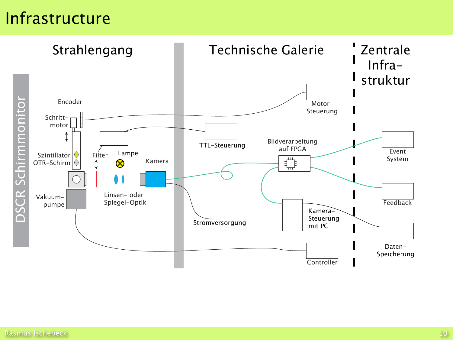Strahlengang Technische Galerie (Zentrale Infrastruktur  $\mathbf{I}$ DSCR Schirmmonitor Encoder **CR Schirmmonito** Motor-Steuerung Schrittmotor  $\updownarrow$ Bildverarbeitung TTL-Steuerung auf FPGA Event Lampe Szintillator<sup>1</sup> Filter  $\begin{picture}(20,5) \put(0,0){\line(1,0){15}} \put(15,0){\line(1,0){15}} \put(15,0){\line(1,0){15}} \put(15,0){\line(1,0){15}} \put(15,0){\line(1,0){15}} \put(15,0){\line(1,0){15}} \put(15,0){\line(1,0){15}} \put(15,0){\line(1,0){15}} \put(15,0){\line(1,0){15}} \put(15,0){\line(1,0){15}} \put(15,0){\line(1,0){15}} \put(15,0){\line(1,$ System Kamera OTR-Schirm  $\bigotimes$ Linsen- oder Vakuum-Spiegel-Optik **Feedback** pumpe Kamera-Steuerung Stromversorgung mit PC Daten-Speicherung **Controller**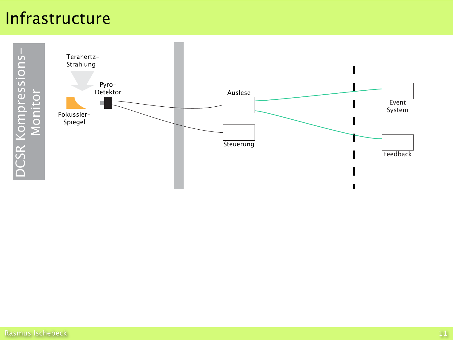# Infrastructure DSCR Schirmmonitor

DCSR Kompressions-DCSR Kompressions-

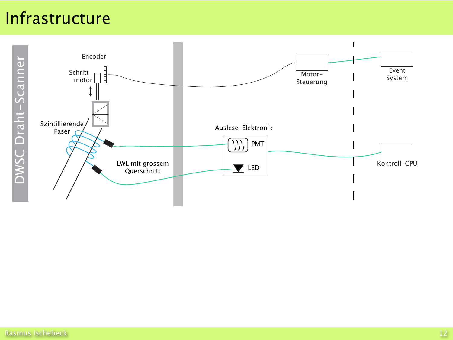

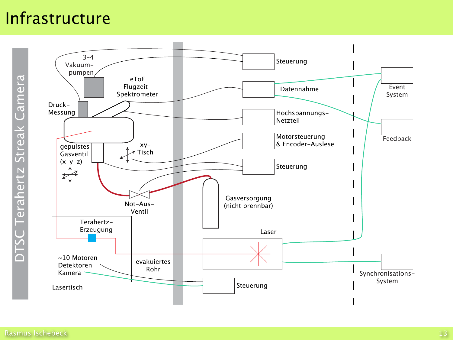$DTSC$  Terahertz Streak Camera  $\square$ Camera Streak Terahertz  $\overline{\bigcap}$ 

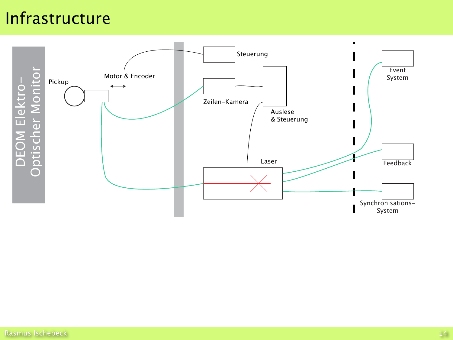Steuerung Event DEOM Elektro-<br>Optischer Monitor Motor & Encoder System Pickup  $\longleftrightarrow$ Zeilen-Kamera Auslese & Steuerung Laser Feedback Synchronisations-System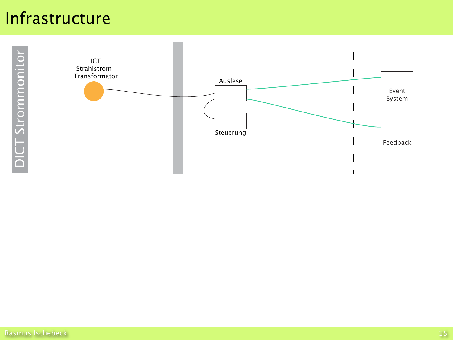DICT Strommonitor T Strommonito  $|\breve{\overline{\bm{\circ}}}$